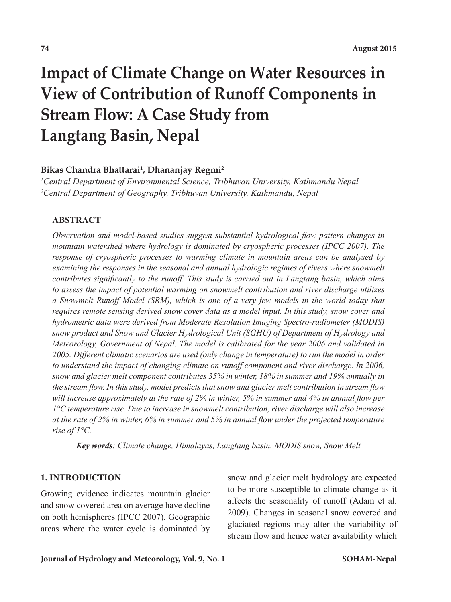# **Impact of Climate Change on Water Resources in View of Contribution of Runoff Components in Stream Flow: A Case Study from Langtang Basin, Nepal**

### **Bikas Chandra Bhattarai1 , Dhananjay Regmi2**

*1 Central Department of Environmental Science, Tribhuvan University, Kathmandu Nepal 2 Central Department of Geography, Tribhuvan University, Kathmandu, Nepal*

### **ABSTRACT**

*Observation and model-based studies suggest substantial hydrological flow pattern changes in mountain watershed where hydrology is dominated by cryospheric processes (IPCC 2007). The response of cryospheric processes to warming climate in mountain areas can be analysed by*  examining the responses in the seasonal and annual hydrologic regimes of rivers where snowmelt *contributes significantly to the runoff. This study is carried out in Langtang basin, which aims to assess the impact of potential warming on snowmelt contribution and river discharge utilizes a Snowmelt Runoff Model (SRM), which is one of a very few models in the world today that requires remote sensing derived snow cover data as a model input. In this study, snow cover and hydrometric data were derived from Moderate Resolution Imaging Spectro-radiometer (MODIS) snow product and Snow and Glacier Hydrological Unit (SGHU) of Department of Hydrology and Meteorology, Government of Nepal. The model is calibrated for the year 2006 and validated in 2005. Different climatic scenarios are used (only change in temperature) to run the model in order*  to understand the impact of changing climate on runoff component and river discharge. In 2006, *snow and glacier melt component contributes 35% in winter, 18% in summer and 19% annually in the stream flow. In this study, model predicts that snow and glacier melt contribution in stream flow will increase approximately at the rate of 2% in winter, 5% in summer and 4% in annual flow per 1°C temperature rise. Due to increase in snowmelt contribution, river discharge will also increase at the rate of 2% in winter, 6% in summer and 5% in annual flow under the projected temperature rise of 1°C.*

*Key words: Climate change, Himalayas, Langtang basin, MODIS snow, Snow Melt*

### **1. INTRODUCTION**

Growing evidence indicates mountain glacier and snow covered area on average have decline on both hemispheres (IPCC 2007). Geographic areas where the water cycle is dominated by snow and glacier melt hydrology are expected to be more susceptible to climate change as it affects the seasonality of runoff (Adam et al. 2009). Changes in seasonal snow covered and glaciated regions may alter the variability of stream flow and hence water availability which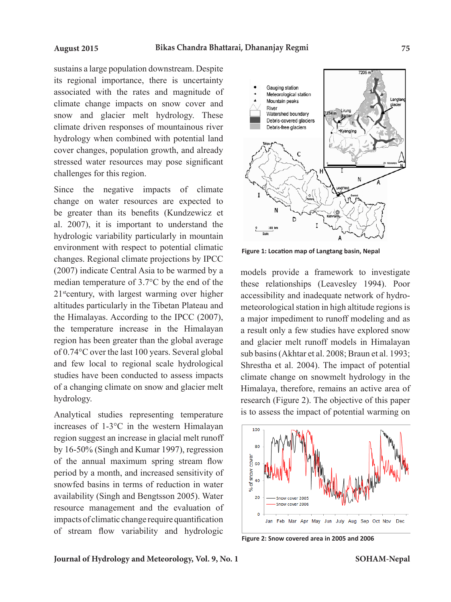sustains a large population downstream. Despite its regional importance, there is uncertainty associated with the rates and magnitude of climate change impacts on snow cover and snow and glacier melt hydrology. These climate driven responses of mountainous river hydrology when combined with potential land cover changes, population growth, and already stressed water resources may pose significant challenges for this region.

Since the negative impacts of climate change on water resources are expected to be greater than its benefits (Kundzewicz et al. 2007), it is important to understand the hydrologic variability particularly in mountain environment with respect to potential climatic changes. Regional climate projections by IPCC (2007) indicate Central Asia to be warmed by a median temperature of 3.7°C by the end of the 21<sup>st</sup>century, with largest warming over higher altitudes particularly in the Tibetan Plateau and the Himalayas. According to the IPCC (2007), the temperature increase in the Himalayan region has been greater than the global average of 0.74°C over the last 100 years. Several global and few local to regional scale hydrological studies have been conducted to assess impacts of a changing climate on snow and glacier melt hydrology.

Analytical studies representing temperature increases of 1-3°C in the western Himalayan region suggest an increase in glacial melt runoff by 16-50% (Singh and Kumar 1997), regression of the annual maximum spring stream flow period by a month, and increased sensitivity of snowfed basins in terms of reduction in water availability (Singh and Bengtsson 2005). Water resource management and the evaluation of impacts of climatic change require quantification of stream flow variability and hydrologic



**Figure 1: Location map of Langtang basin, Nepal**

models provide a framework to investigate these relationships (Leavesley 1994). Poor accessibility and inadequate network of hydrometeorological station in high altitude regions is a major impediment to runoff modeling and as a result only a few studies have explored snow and glacier melt runoff models in Himalayan sub basins (Akhtar et al. 2008; Braun et al. 1993; Shrestha et al. 2004). The impact of potential climate change on snowmelt hydrology in the Himalaya, therefore, remains an active area of research (Figure 2). The objective of this paper is to assess the impact of potential warming on



**Figure 2: Snow covered area in 2005 and 2006**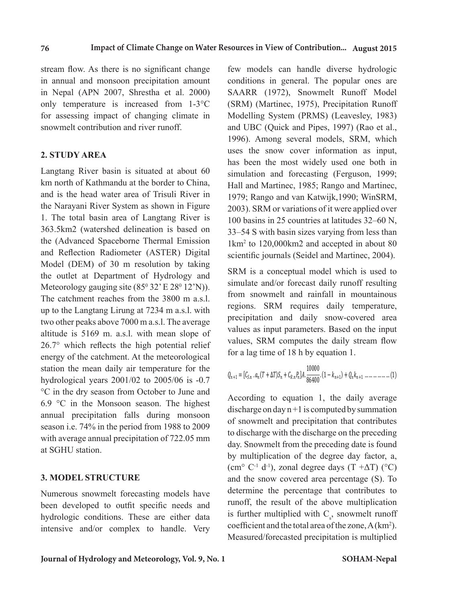stream flow. As there is no significant change in annual and monsoon precipitation amount in Nepal (APN 2007, Shrestha et al. 2000) only temperature is increased from 1-3°C for assessing impact of changing climate in snowmelt contribution and river runoff.

### **2. STUDY AREA**

Langtang River basin is situated at about 60 km north of Kathmandu at the border to China, and is the head water area of Trisuli River in the Narayani River System as shown in Figure 1. The total basin area of Langtang River is 363.5km2 (watershed delineation is based on the (Advanced Spaceborne Thermal Emission and Reflection Radiometer (ASTER) Digital Model (DEM) of 30 m resolution by taking the outlet at Department of Hydrology and Meteorology gauging site  $(85^{\circ}32 \text{ }^{\circ} \text{E } 28^{\circ}12 \text{ }^{\circ} \text{N}))$ . The catchment reaches from the 3800 m a.s.l. up to the Langtang Lirung at 7234 m a.s.l. with two other peaks above 7000 m a.s.l. The average altitude is 5169 m. a.s.l. with mean slope of 26.7° which reflects the high potential relief energy of the catchment. At the meteorological station the mean daily air temperature for the hydrological years 2001/02 to 2005/06 is -0.7 °C in the dry season from October to June and 6.9 °C in the Monsoon season. The highest annual precipitation falls during monsoon season i.e. 74% in the period from 1988 to 2009 with average annual precipitation of 722.05 mm at SGHU station.

### **3. MODEL STRUCTURE**

Numerous snowmelt forecasting models have been developed to outfit specific needs and hydrologic conditions. These are either data intensive and/or complex to handle. Very few models can handle diverse hydrologic conditions in general. The popular ones are SAARR (1972), Snowmelt Runoff Model (SRM) (Martinec, 1975), Precipitation Runoff Modelling System (PRMS) (Leavesley, 1983) and UBC (Quick and Pipes, 1997) (Rao et al., 1996). Among several models, SRM, which uses the snow cover information as input, has been the most widely used one both in simulation and forecasting (Ferguson, 1999; Hall and Martinec, 1985; Rango and Martinec, 1979; Rango and van Katwijk,1990; WinSRM, 2003). SRM or variations of it were applied over 100 basins in 25 countries at latitudes 32–60 N, 33–54 S with basin sizes varying from less than 1km2 to 120,000km2 and accepted in about 80 scientific journals (Seidel and Martinec, 2004).

SRM is a conceptual model which is used to simulate and/or forecast daily runoff resulting from snowmelt and rainfall in mountainous regions. SRM requires daily temperature, precipitation and daily snow-covered area values as input parameters. Based on the input values, SRM computes the daily stream flowfor a lag time of 18 h by equation 1.

$$
Q_{n+1} = [C_{S,n} \cdot a_n (T + \Delta T)S_n + C_{R,n} P_n] A \cdot \frac{10000}{86400} \cdot (1 - k_{n+1}) + Q_n k_{n+1} \dots \dots \dots \dots \dots \dots (1)
$$

discharge on day  $n + 1$  is computed by summation of snowmelt and precipitation that contributes to discharge with the discharge on the preceding day. Showmed from the preceding date is found<br>by multiplication of the degree day factor, a, (cm° C<sup>-1</sup> d<sup>-1</sup>), zonal degree days (T + $\Delta$ T) (°C) and the snow covered area percentage  $(S)$ . To determine the percentage that contributes to runoff, the result of the above multiplication coefficient and the total area of the zone,  $A(km^2)$ . Measured/forecasted precipitation is multiplied According to equation 1, the daily average day. Snowmelt from the preceding date is found is further multiplied with  $C_s$ , snowmelt runoff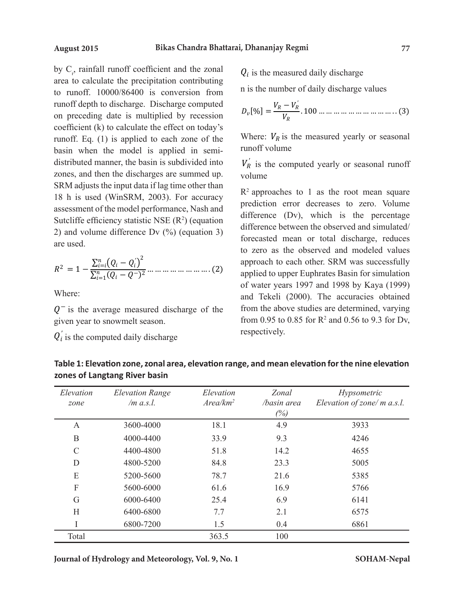by  $C_r$ , rainfall runoff coefficient and the zonal  $Q_i$  is the measured daily discharaarea to calculate the precipitation contributing  $\frac{Q_i}{q}$  is the number of daily discharge to runoff.  $10000/86400$  is conversion from  $\frac{10000}{86400}$  n is the number of daily discha runoff depth to discharge. Discharge computed  $V_R - V'_R$ on preceding date is multiplied by recession  $v_{\nu}$ [170]  $-\frac{V_{\nu}}{V_{R}}$ . 100 ... ... ... coefficient (k) to calculate the effect on today's  $\frac{W}{N}$  and  $\frac{W}{N}$  is the total area of the total area of the total area of the total area of the total area of the total area of the total area of the total area of runoff. Eq. (1) is applied to each zone of the Where:  $V_R$  is the measured ye  $\frac{c_{\text{max}}}{c_{\text{max}}}$  are the precipitation contribution contributing to  $\frac{c_{\text{max}}}{c_{\text{max}}}$  are the precipitation contributing to runoff. distributed manner, the basin is subdivided into  $V_R^{\prime}$  is the computed vearly o zones, and then the discharges are summed up.  $V_0$  volume SRM adjusts the input data if lag time other than  $R^2$  approaches 18 h is used (WinSRM, 2003). For accuracy  $\frac{R}{L}$  approaches to 1 as the model is applied to each  $\frac{R}{L}$ assessment of the model performance, Nash and  $\frac{100}{100}$  rediction error decreases to Sutcliffe efficiency statistic NSE  $(R^2)$  (equation difference  $(Dv)$ , which is 2) and volume difference Dv  $(\%)$  (equation 3) difference between the observe are used. are used. are the precipitation contributing<br>0000/86400 is conversion from  $\frac{1}{n}$  is the number of daily discharge values  $\cos$  $\frac{1}{2}$ . Measured by Cr, F, (1) is the measured vector is the measured vector is the measured vector. distributed manner, the basin is subdivided into  $V_R$  is the computed yearly or seasonal runoff volume and the discharge computed volume of  $V_R$  $p_{\text{SDM}}$  ding the input date if  $p_{\text{SDM}}$  and  $p_{\text{SDM}}$  to  $p_{\text{SDM}}$  to  $p_{\text{SDM}}$ assessment of the model performance, Nash and  $\frac{1}{\text{difference (Dv)}}$ , which is the percentage are used. of snowmelt and precipitation that contributes to discharge with the discharge on the puroficient determine that contributes that contributes  $D_v[\%] = \frac{v_R - v_R}{v}$ , 100 ... ... ... by adjusts the input data if ag time other than  $R^2$  approaches to 1 as the root mean square  $\mathbb{Z}$  and volume difference  $\mathbb{Z}^{\vee}$  ( $\mathbb{Z}^{\vee}$ ) (equation  $\mathbb{Z}^{\vee}$ ) forecasted mean or total discharge, reduces

$$
R^{2} = 1 - \frac{\sum_{i=i}^{n} (Q_{i} - Q_{i})^{2}}{\sum_{i=1}^{n} (Q_{i} - Q^{-})^{2}} \dots \dots \dots \dots \dots \dots \dots \dots (2)
$$
appto  
or we  
of we

Where:  $\mathbf{r} = \mathbf{r} \cdot \mathbf{r} + \mathbf{r} \cdot \mathbf{r} + \mathbf{r} \cdot \mathbf{r}$ 

 $Q^-$  is the average measured discharge of the from the above studies are given year to snowmelt season. from 0.95 to 0.85 for R<sup>2</sup> an

 $\overline{O_i}$  is the computed daily discharge values  $Q'_i$  is the computed daily discharge

 $Q_i$  is the measured daily discharge is the measured daily discharge  $Q_i$  is the measured daily discharge

$$
D_{v}[%] = \frac{V_{R} - V_{R}^{'}}{V_{R}}.100 \dots \dots \dots \dots \dots \dots \dots \dots \dots \dots (3)
$$

ee ect on today s<br>h zone of the Where:  $V_R$  is the measured yearly or seasonal in semi-<br> $runott$  volume d in semi-<br> *runoff volume*  $\mathbf{r}$ 

 $\frac{v}{R}$  is to volume  $V_R'$  is the computed yearly or seasonal runoff

Where:  $\frac{1}{2}$  is the average measured discharge of the given year to snow measured the given year to snow measured the given year to snow measured the given year to snow measured the given year to snow measured the give of water years 1997 and 1998 by Kaya (1999) to zero as the observed and modeled values  $\frac{1}{2}$   $\frac{1}{2}$  to zero as the observed and modeled values and Tekeli (2000). The accuracies obtained prediction error decreases to zero. Volume difference between the observed and simulated/ approach to each other. SRM was successfully applied to upper Euphrates Basin for simulation from the above studies are determined, varying from 0.95 to 0.85 for  $R^2$  and 0.56 to 9.3 for Dv, respectively.

| Elevation<br>zone | <b>Elevation Range</b><br>$/m$ a.s.l. | Elevation<br>Area/km <sup>2</sup> | Zonal<br>/basin area<br>(%) | Hypsometric<br>Elevation of zone/ m a.s.l. |
|-------------------|---------------------------------------|-----------------------------------|-----------------------------|--------------------------------------------|
| $\mathbf{A}$      | 3600-4000                             | 18.1                              | 4.9                         | 3933                                       |
| $\mathbf B$       | 4000-4400                             | 33.9                              | 9.3                         | 4246                                       |
| $\mathcal{C}$     | 4400-4800                             | 51.8                              | 14.2                        | 4655                                       |
| D                 | 4800-5200                             | 84.8                              | 23.3                        | 5005                                       |
| E                 | 5200-5600                             | 78.7                              | 21.6                        | 5385                                       |
| F                 | 5600-6000                             | 61.6                              | 16.9                        | 5766                                       |
| G                 | 6000-6400                             | 25.4                              | 6.9                         | 6141                                       |
| H                 | 6400-6800                             | 7.7                               | 2.1                         | 6575                                       |
|                   | 6800-7200                             | 1.5                               | 0.4                         | 6861                                       |
| Total             |                                       | 363.5                             | 100                         |                                            |

Table 1: Elevation zone, zonal area, elevation<br>zones of Langtang River basin سواء بين العداد العام<br>Table 1<sup>,</sup> Flevation zone zonal area **Table 1: Elevation zone, zonal area, elevation range, and mean elevation for the nine elevation** 

**Journal of Hydrology and Meteorology, Vol. 9, No. 1**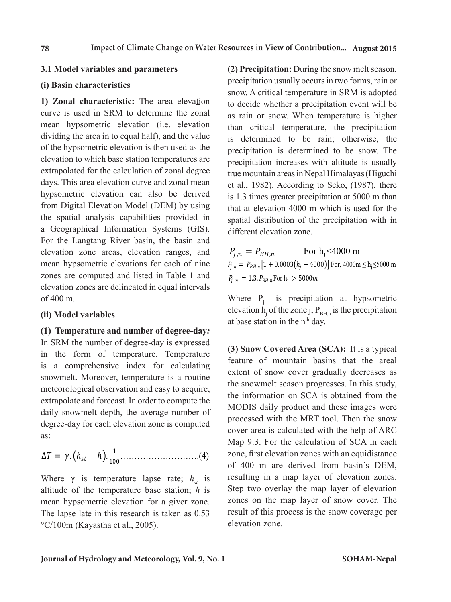### **3.1 Model variables and parameters**

**1) Zonal characteristic:** The area elevation to decide whether a precipitation ever curve is used in SRM to determine the zonal mean hypsometric elevation (i.e. elevation dividing the area in to equal half), and the value of the hypsometric elevation is then used as the **3.1 Model variables and parameters** elevation to which base station temperatures are extrapolated for the calculation of zonal degree days. This area elevation curve and zonal mean hypsometric elevation can also be derived from Digital Elevation Model (DEM) by using that at elevation 4000 m which is use the spatial analysis capabilities provided in a Geographical Information Systems (GIS). For the Langtang River basin, the basin and  $\frac{1}{2}$  are elevation cone. elevation zone areas, elevation ranges, and  $P_{j,n} = P_{BH,n}$  For h<sub>j</sub><4000 m mean hypsometric elevations for each of nine zones are computed and listed in Table 1 and  $p_{\text{max}} = 1.3$ .  $p_{\text{max}}$  For h.  $> 5000 \text{m}$ . elevation zones are delineated in equal intervals and means the basin of the basin  $\ell$ of 400 m. the spatial analysis capabilities provided in spatial distribution of the precipitation with in  $\frac{1}{2}$  TVals

## **(ii) Model variables** elevation zones at b

**(1)****Temperature and number of degree-day***:* In SRM the number of degree-day is expressed  $\omega$ . in the form of temperature. Temperature is a comprehensive index for calculating snowmelt. Moreover, temperature is a routine meteorological observation and easy to acquire, the snowmell season progresses. In the form of the form of the form of the form of the form of the form of the form of the form of the form of the form of the form of the for extrapolate and forecast. In order to compute the daily snowmelt depth, the average number of degree-day for each elevation zone is computed processed with the MRT tool. Then as:  $\alpha$ s:

∆ ൌ Ǥ ℎ <sup>−</sup> <sup>ℎ</sup><sup>Ǥ</sup> <sup>ͳ</sup> ͳͲͲ……………………….(4)

Where  $\gamma$  is temperature lapse rate;  $h_{st}$  is resulting in a map layer of elevation The lapse late in this research is taken as 0.53 altitude of the temperature base station; *h* is mean hypsometric elevation for a giver zone. °C/100m (Kayastha et al., 2005).

(i) Basin characteristics **simulation** of water years in two form **3.1 Model variables and parameters** (2) Precipitation: During the snow melt season, days. This area elevation curve and zonal mean et al., 1982). According to Seko, (1987), there precipitation usually occurs in two forms, rain or snow. A critical temperature in SRM is adopted to decide whether a precipitation event will be as rain or snow. When temperature is higher than critical temperature, the precipitation value is determined to be rain; otherwise, the as the precipitation is determined to be snow. The precipitation increases with altitude is usually legree true mountain areas in Nepal Himalayas (Higuchi erived is 1.3 times greater precipitation at 5000 m than using that at elevation 4000 m which is used for the different elevation zone.

> $P_{j,n} = P_{BH,n}$  For h<sub>j</sub><4000 m  $P_{j,n} = P_{BH,n} [1 + 0.0003 (h_j - 4000)]$  For, 4000m  $\leq$  h<sub>j</sub>  $\leq$ 5000 m  $P_{i,n} = P_{BH,n}$ **r** and  $P_{j,n} = 1.3$ .  $P_{BH,n}$  For  $h_j > 5000$  m

 $\frac{1}{\sqrt{1-\frac{1}{\sqrt{1-\frac{1}{\sqrt{1-\frac{1}{\sqrt{1-\frac{1}{\sqrt{1-\frac{1}{\sqrt{1-\frac{1}{\sqrt{1-\frac{1}{\sqrt{1-\frac{1}{\sqrt{1-\frac{1}{\sqrt{1-\frac{1}{\sqrt{1-\frac{1}{\sqrt{1-\frac{1}{\sqrt{1-\frac{1}{\sqrt{1-\frac{1}{\sqrt{1-\frac{1}{\sqrt{1-\frac{1}{\sqrt{1-\frac{1}{\sqrt{1-\frac{1}{\sqrt{1-\frac{1}{\sqrt{1-\frac{1}{\sqrt{1-\frac{1}{\sqrt{1-\frac{1}{\sqrt{1-\frac{1}{\sqrt{1-\frac{1$ at base station in the n<sup>th</sup> day. elevation  $h_j$  of the zone j,  $P_{BH,n}$  is the precipitation Where  $P_j$  is precipitation at hypsometric

s a complement muck for calculating<br>snowmelt. Moreover, temperature is a routine extent of snow cover gradually decreases as extrapolate and forecast. In order to compute the<br>doily apparent don't the system number of MODIS daily product and these images were mean hypometric elevation for a giver zone. Zones on the map layer of snow cover. The  $\dot{c}$  the snowmelt season progresses. In this study, the snowmelt season progresses. In this study, processed with the MRT tool. Then the snow  $\frac{1}{2}$  cover area is calculated with the help of ARC  $(4)$  zone, first elevation zones with an equidistance of 400 m are derived from basin's DEM,  $n_{st}$  is resulting in a map hayer of elevation zones.<br> $n_{st}$  is Step two overlay the map layer of elevation  $8, 0.53$  result of this process is the snow coverage per *(1)Runoff coefficient***:** The SRM accepts separate values of runoff coefficient for snow and  $\epsilon_{\text{roture}}$  (3) Snow Covered Area (SCA): It is a typical  $\frac{1}{\pi}$  feature of mountain basins that the areal but the SCC is obtained from the MODIS data in the SCC in the SCC in the Study,  $\frac{1}{2}$  the snowmelt season progresses. In this study, quire, the information on SCA is obtained from the  $\frac{1}{2}$ Map 9.3. For the calculation of SCA in each  $h$  is resulting in a map layer of elevation zones.  $\mathbf{C}$  characteristics. The adjustment of  $\mathbf{C}$  coefficient is always required in the initial interaction in the initial interaction in the initial interaction in the initial interaction in the initial interaction in basic characteristics. The adjustment of runoff coefficient is always required in the initial value of  $\mathbb{R}^n$ .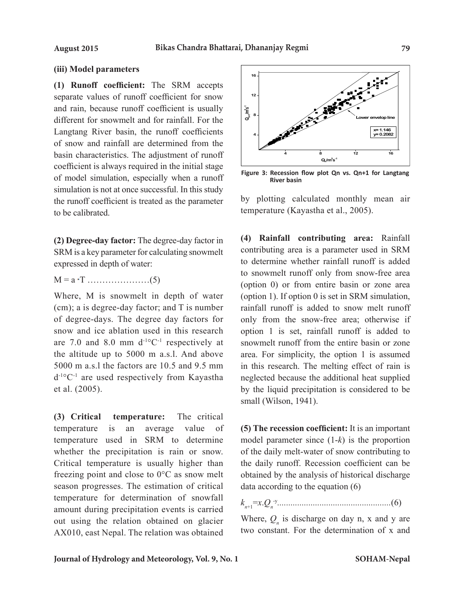### **(iii) Model parameters**

**(1) Runoff coefficient:** The SRM accepts separate values of runoff coefficient for snow and rain, because runoff coefficient is usually different for snowmelt and for rainfall. For the Langtang River basin, the runoff coefficients of snow and rainfall are determined from the basin characteristics. The adjustment of runoff coefficient is always required in the initial stage of model simulation, especially when a runoff simulation is not at once successful. In this study the runoff coefficient is treated as the parameter to be calibrated.

**(2) Degree-day factor:** The degree-day factor in SRM is a key parameter for calculating snowmelt expressed in depth of water:

 $M = a \cdot T \dots (5)$ 

Where, M is snowmelt in depth of water (cm); a is degree-day factor; and T is number of degree-days. The degree day factors for snow and ice ablation used in this research are 7.0 and 8.0 mm  $d^{-1}$ °C<sup>-1</sup> respectively at the altitude up to 5000 m a.s.l. And above 5000 m a.s.l the factors are 10.5 and 9.5 mm d-1°C-1 are used respectively from Kayastha et al. (2005).

**(3) Critical temperature:**The critical temperature is an average value of temperature used in SRM to determine whether the precipitation is rain or snow. Critical temperature is usually higher than freezing point and close to 0°C as snow melt season progresses. The estimation of critical temperature for determination of snowfall amount during precipitation events is carried out using the relation obtained on glacier AX010, east Nepal. The relation was obtained



**Figure 3: Recession flow plot Qn vs. Qn+1 for Langtang River basin**

by plotting calculated monthly mean air temperature (Kayastha et al., 2005).

**(4) Rainfall contributing area:** Rainfall contributing area is a parameter used in SRM to determine whether rainfall runoff is added to snowmelt runoff only from snow-free area (option 0) or from entire basin or zone area (option 1). If option 0 is set in SRM simulation, rainfall runoff is added to snow melt runoff only from the snow-free area; otherwise if option 1 is set, rainfall runoff is added to snowmelt runoff from the entire basin or zone area. For simplicity, the option 1 is assumed in this research. The melting effect of rain is neglected because the additional heat supplied by the liquid precipitation is considered to be small (Wilson, 1941).

**(5) The recession coefficient:** It is an important model parameter since (1-*k*) is the proportion of the daily melt-water of snow contributing to the daily runoff. Recession coefficient can be obtained by the analysis of historical discharge data according to the equation (6)

*kn*+1=*x*.*Qn* -y*...................................................*(6)

Where,  $Q_n$  is discharge on day n, x and y are two constant. For the determination of x and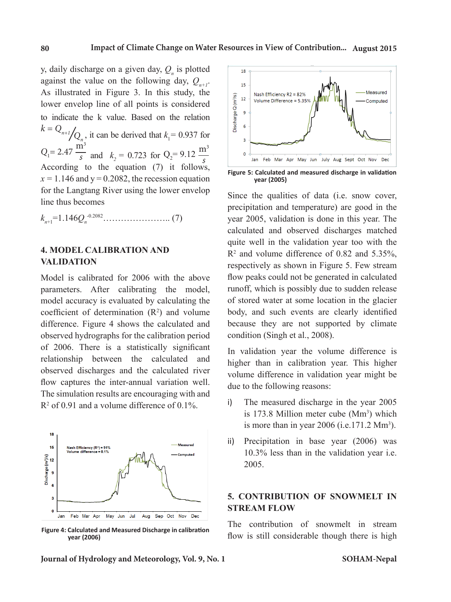y, daily discharge on a given day,  $Q_n$  is plotted against the value on the following day,  $Q_{n+1}$ . As illustrated in Figure 3. In this study, the lower envelop line of all points is considered to indicate the k value. Based on the relation  $k = Q_{n+1}/Q_{n^2}$ , it can be derived that  $k_1 = 0.937$  for  $Q_1 = 2.47 \frac{\text{m}^3}{s}$  and  $k_2 = 0.723$  for  $Q_2 = 9.12 \frac{\text{m}^3}{s}$ *s* According to the equation (7) it follows,  $x = 1.146$  and  $y = 0.2082$ , the recession equation for the Langtang River using the lower envelop line thus becomes

*k*<sub>n+1</sub>=1.146*Q*<sub>n</sub><sup>-0.2082</sup>……………………………. (7)

### **4. MODEL CALIBRATION AND VALIDATION**

Model is calibrated for 2006 with the above parameters. After calibrating the model, model accuracy is evaluated by calculating the coefficient of determination  $(R^2)$  and volume difference. Figure 4 shows the calculated and observed hydrographs for the calibration period of 2006. There is a statistically significant relationship between the calculated and observed discharges and the calculated river flow captures the inter-annual variation well. The simulation results are encouraging with and  $R^2$  of 0.91 and a volume difference of 0.1%.



**Figure 4: Calculated and Measured Discharge in calibration year (2006)**



**Figure 5: Calculated and measured discharge in validation year (2005)**

Since the qualities of data (i.e. snow cover, precipitation and temperature) are good in the year 2005, validation is done in this year. The calculated and observed discharges matched quite well in the validation year too with the  $\mathbb{R}^2$  and volume difference of 0.82 and 5.35%, respectively as shown in Figure 5. Few stream flow peaks could not be generated in calculated runoff, which is possibly due to sudden release of stored water at some location in the glacier body, and such events are clearly identified because they are not supported by climate condition (Singh et al., 2008).

In validation year the volume difference is higher than in calibration year. This higher volume difference in validation year might be due to the following reasons:

- i) The measured discharge in the year 2005 is  $173.8$  Million meter cube  $(Mm<sup>3</sup>)$  which is more than in year  $2006$  (i.e.171.2 Mm<sup>3</sup>).
- ii) Precipitation in base year (2006) was 10.3% less than in the validation year i.e. 2005.

### **5. CONTRIBUTION OF SNOWMELT IN STREAM FLOW**

The contribution of snowmelt in stream flow is still considerable though there is high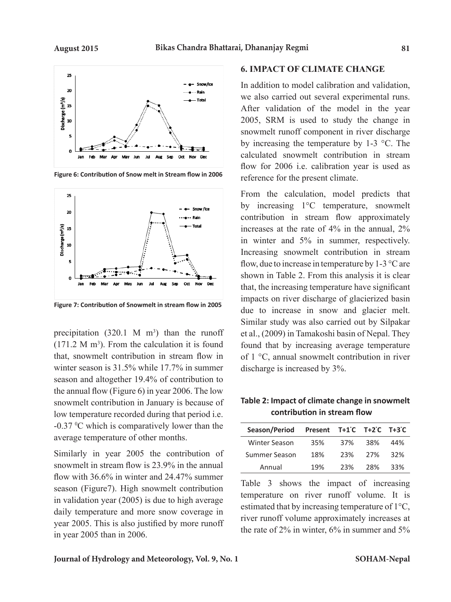$25$  $20$ 

Discharge  $(m^3/s)$ <br> $\frac{1}{5}$   $\frac{1}{5}$ 

5  $\mathbf{o}$ 



**Figure 6: Contribution of Snow melt in Stream flow in 2006**

Jun Jul Aug Sep Oct Nov Dec



**Figure 7: Contribution of Snowmelt in stream flow in 2005**

precipitation  $(320.1 \text{ M} \text{ m}^3)$  than the runoff  $(171.2 \text{ M m}^3)$ . From the calculation it is found that, snowmelt contribution in stream flow in winter season is 31.5% while 17.7% in summer season and altogether 19.4% of contribution to the annual flow (Figure 6) in year 2006. The low snowmelt contribution in January is because of low temperature recorded during that period i.e.  $-0.37 \,^{\circ}\text{C}$  which is comparatively lower than the average temperature of other months.

Similarly in year 2005 the contribution of snowmelt in stream flow is 23.9% in the annual flow with 36.6% in winter and 24.47% summer season (Figure7). High snowmelt contribution in validation year (2005) is due to high average daily temperature and more snow coverage in year 2005. This is also justified by more runoff in year 2005 than in 2006.

### **6. IMPACT OF CLIMATE CHANGE**

In addition to model calibration and validation, we also carried out several experimental runs. After validation of the model in the year 2005, SRM is used to study the change in snowmelt runoff component in river discharge by increasing the temperature by 1-3 °C. The calculated snowmelt contribution in stream flow for 2006 i.e. calibration year is used as reference for the present climate.

From the calculation, model predicts that by increasing 1°C temperature, snowmelt contribution in stream flow approximately increases at the rate of 4% in the annual, 2% in winter and 5% in summer, respectively. Increasing snowmelt contribution in stream flow, due to increase in temperature by  $1-3$  °C are shown in Table 2. From this analysis it is clear that, the increasing temperature have significant impacts on river discharge of glacierized basin due to increase in snow and glacier melt. Similar study was also carried out by Silpakar et al., (2009) in Tamakoshi basin of Nepal. They found that by increasing average temperature of 1 °C, annual snowmelt contribution in river discharge is increased by 3%.

**Table 2: Impact of climate change in snowmelt contribution in stream flow**

| Season/Period Present T+1°C T+2°C T+3°C |     |     |     |     |
|-----------------------------------------|-----|-----|-----|-----|
| Winter Season                           | 35% | 37% | 38% | 44% |
| Summer Season                           | 18% | 23% | 27% | 32% |
| Annual                                  | 19% | 23% | 28% | 33% |

Table 3 shows the impact of increasing temperature on river runoff volume. It is estimated that by increasing temperature of 1°C, river runoff volume approximately increases at the rate of 2% in winter, 6% in summer and 5%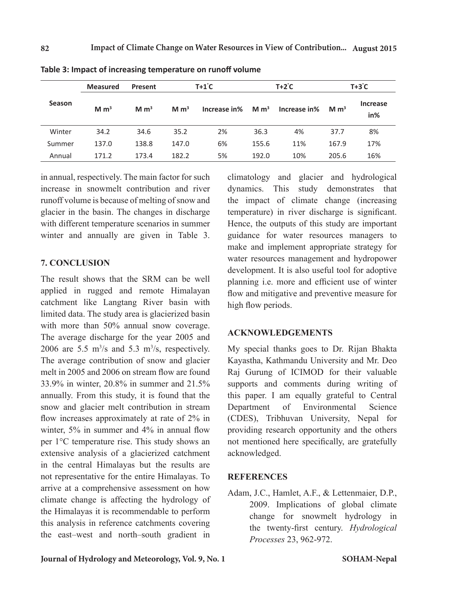|               | <b>Measured</b>   | Present          |                  | $T+1^{\circ}C$ |                  | T+2˚C        |                  | $T+3^{\circ}C$         |  |
|---------------|-------------------|------------------|------------------|----------------|------------------|--------------|------------------|------------------------|--|
| <b>Season</b> | $M \, \text{m}^3$ | M m <sup>3</sup> | M m <sup>3</sup> | Increase in%   | M m <sup>3</sup> | Increase in% | M m <sup>3</sup> | <b>Increase</b><br>in% |  |
| Winter        | 34.2              | 34.6             | 35.2             | 2%             | 36.3             | 4%           | 37.7             | 8%                     |  |
| Summer        | 137.0             | 138.8            | 147.0            | 6%             | 155.6            | 11%          | 167.9            | 17%                    |  |
| Annual        | 171.2             | 173.4            | 182.2            | 5%             | 192.0            | 10%          | 205.6            | 16%                    |  |

|  | Table 3: Impact of increasing temperature on runoff volume |  |
|--|------------------------------------------------------------|--|
|--|------------------------------------------------------------|--|

in annual, respectively. The main factor for such increase in snowmelt contribution and river runoff volume is because of melting of snow and glacier in the basin. The changes in discharge with different temperature scenarios in summer winter and annually are given in Table 3.

### **7. CONCLUSION**

The result shows that the SRM can be well applied in rugged and remote Himalayan catchment like Langtang River basin with limited data. The study area is glacierized basin with more than 50% annual snow coverage. The average discharge for the year 2005 and 2006 are 5.5  $\text{m}^3\text{/s}$  and 5.3  $\text{m}^3\text{/s}$ , respectively. The average contribution of snow and glacier melt in 2005 and 2006 on stream flow are found 33.9% in winter, 20.8% in summer and 21.5% annually. From this study, it is found that the snow and glacier melt contribution in stream flow increases approximately at rate of 2% in winter, 5% in summer and 4% in annual flow per 1°C temperature rise. This study shows an extensive analysis of a glacierized catchment in the central Himalayas but the results are not representative for the entire Himalayas. To arrive at a comprehensive assessment on how climate change is affecting the hydrology of the Himalayas it is recommendable to perform this analysis in reference catchments covering the east–west and north–south gradient in

climatology and glacier and hydrological dynamics. This study demonstrates that the impact of climate change (increasing temperature) in river discharge is significant. Hence, the outputs of this study are important guidance for water resources managers to make and implement appropriate strategy for water resources management and hydropower development. It is also useful tool for adoptive planning i.e. more and efficient use of winter flow and mitigative and preventive measure for high flow periods.

### **ACKNOWLEDGEMENTS**

My special thanks goes to Dr. Rijan Bhakta Kayastha, Kathmandu University and Mr. Deo Raj Gurung of ICIMOD for their valuable supports and comments during writing of this paper. I am equally grateful to Central Department of Environmental Science (CDES), Tribhuvan University, Nepal for providing research opportunity and the others not mentioned here specifically, are gratefully acknowledged.

### **REFERENCES**

Adam, J.C., Hamlet, A.F., & Lettenmaier, D.P., 2009. Implications of global climate change for snowmelt hydrology in the twenty-first century. *Hydrological Processes* 23, 962-972.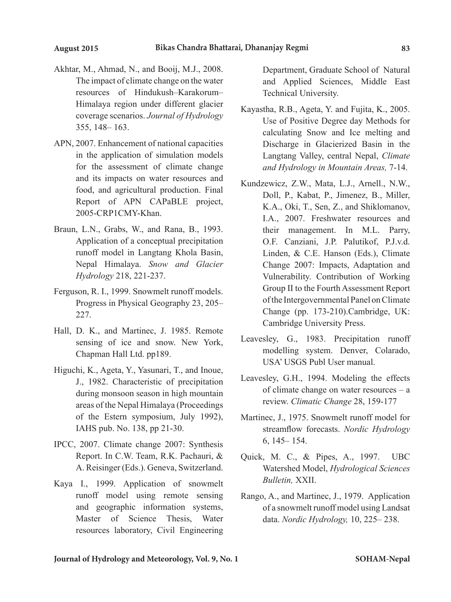- Akhtar, M., Ahmad, N., and Booij, M.J., 2008. The impact of climate change on the water resources of Hindukush–Karakorum– Himalaya region under different glacier coverage scenarios. *Journal of Hydrology*  355, 148– 163.
- APN, 2007. Enhancement of national capacities in the application of simulation models for the assessment of climate change and its impacts on water resources and food, and agricultural production. Final Report of APN CAPaBLE project, 2005-CRP1CMY-Khan.
- Braun, L.N., Grabs, W., and Rana, B., 1993. Application of a conceptual precipitation runoff model in Langtang Khola Basin, Nepal Himalaya. *Snow and Glacier Hydrology* 218, 221-237.
- Ferguson, R. I., 1999. Snowmelt runoff models. Progress in Physical Geography 23, 205– 227.
- Hall, D. K., and Martinec, J. 1985. Remote sensing of ice and snow. New York, Chapman Hall Ltd. pp189.
- Higuchi, K., Ageta, Y., Yasunari, T., and Inoue, J., 1982. Characteristic of precipitation during monsoon season in high mountain areas of the Nepal Himalaya (Proceedings of the Estern symposium, July 1992), IAHS pub. No. 138, pp 21-30.
- IPCC, 2007. Climate change 2007: Synthesis Report. In C.W. Team, R.K. Pachauri, & A. Reisinger (Eds.). Geneva, Switzerland.
- Kaya I., 1999. Application of snowmelt runoff model using remote sensing and geographic information systems, Master of Science Thesis, Water resources laboratory, Civil Engineering

Department, Graduate School of Natural and Applied Sciences, Middle East Technical University.

- Kayastha, R.B., Ageta, Y. and Fujita, K., 2005. Use of Positive Degree day Methods for calculating Snow and Ice melting and Discharge in Glacierized Basin in the Langtang Valley, central Nepal, *Climate and Hydrology in Mountain Areas,* 7-14.
- Kundzewicz, Z.W., Mata, L.J., Arnell., N.W., Doll, P., Kabat, P., Jimenez, B., Miller, K.A., Oki, T., Sen, Z., and Shiklomanov, I.A., 2007. Freshwater resources and their management. In M.L. Parry, O.F. Canziani, J.P. Palutikof, P.J.v.d. Linden, & C.E. Hanson (Eds.), Climate Change 2007: Impacts, Adaptation and Vulnerability. Contribution of Working Group II to the Fourth Assessment Report of the Intergovernmental Panel on Climate Change (pp. 173-210).Cambridge, UK: Cambridge University Press.
- Leavesley, G., 1983. Precipitation runoff modelling system. Denver, Colarado, USA' USGS Publ User manual.
- Leavesley, G.H., 1994. Modeling the effects of climate change on water resources – a review. *Climatic Change* 28, 159-177
- Martinec, J., 1975. Snowmelt runoff model for streamflow forecasts. *Nordic Hydrology*  6, 145– 154.
- Quick, M. C., & Pipes, A., 1997. UBC Watershed Model, *Hydrological Sciences Bulletin,* XXII.
- Rango, A., and Martinec, J., 1979. Application of a snowmelt runoff model using Landsat data. *Nordic Hydrology,* 10, 225– 238.

### **Journal of Hydrology and Meteorology, Vol. 9, No. 1**